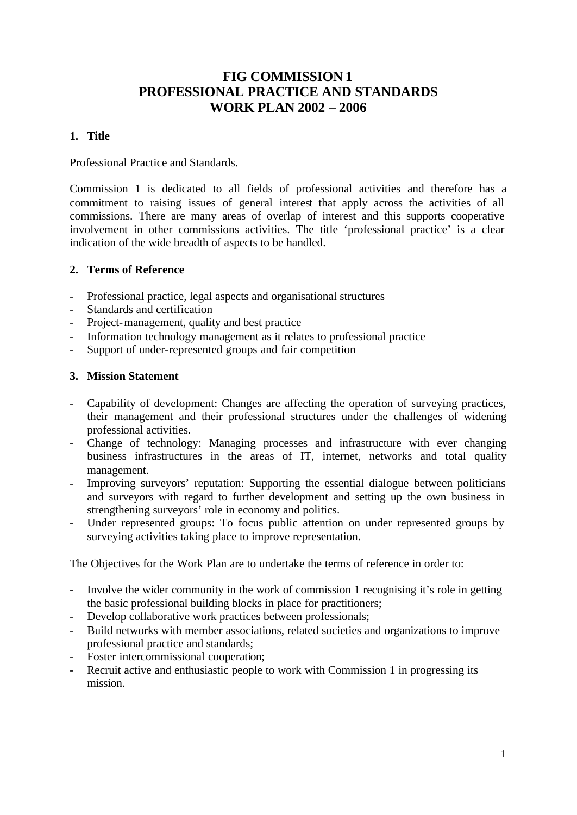# **FIG COMMISSION 1 PROFESSIONAL PRACTICE AND STANDARDS WORK PLAN 2002 – 2006**

# **1. Title**

Professional Practice and Standards.

Commission 1 is dedicated to all fields of professional activities and therefore has a commitment to raising issues of general interest that apply across the activities of all commissions. There are many areas of overlap of interest and this supports cooperative involvement in other commissions activities. The title 'professional practice' is a clear indication of the wide breadth of aspects to be handled.

### **2. Terms of Reference**

- Professional practice, legal aspects and organisational structures
- Standards and certification
- Project-management, quality and best practice
- Information technology management as it relates to professional practice
- Support of under-represented groups and fair competition

#### **3. Mission Statement**

- Capability of development: Changes are affecting the operation of surveying practices, their management and their professional structures under the challenges of widening professional activities.
- Change of technology: Managing processes and infrastructure with ever changing business infrastructures in the areas of IT, internet, networks and total quality management.
- Improving surveyors' reputation: Supporting the essential dialogue between politicians and surveyors with regard to further development and setting up the own business in strengthening surveyors' role in economy and politics.
- Under represented groups: To focus public attention on under represented groups by surveying activities taking place to improve representation.

The Objectives for the Work Plan are to undertake the terms of reference in order to:

- Involve the wider community in the work of commission 1 recognising it's role in getting the basic professional building blocks in place for practitioners;
- Develop collaborative work practices between professionals;
- Build networks with member associations, related societies and organizations to improve professional practice and standards;
- Foster intercommissional cooperation;
- Recruit active and enthusiastic people to work with Commission 1 in progressing its mission.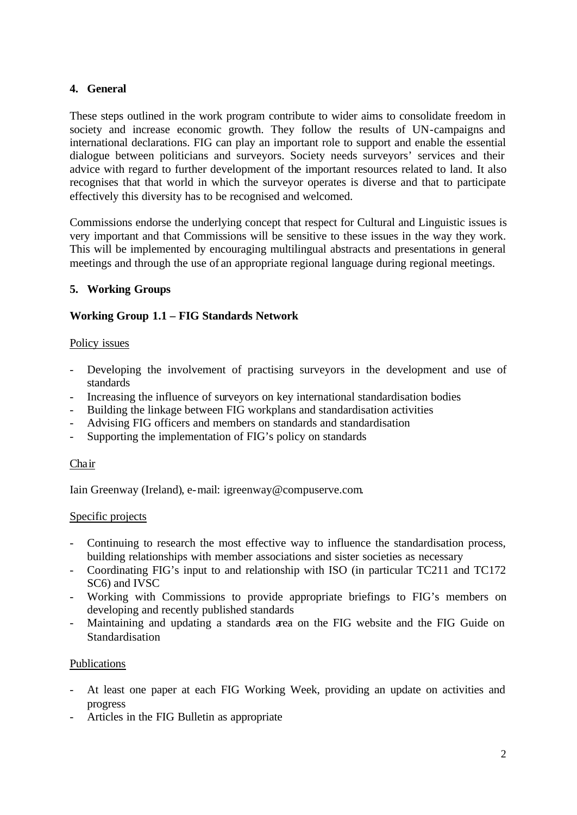## **4. General**

These steps outlined in the work program contribute to wider aims to consolidate freedom in society and increase economic growth. They follow the results of UN-campaigns and international declarations. FIG can play an important role to support and enable the essential dialogue between politicians and surveyors. Society needs surveyors' services and their advice with regard to further development of the important resources related to land. It also recognises that that world in which the surveyor operates is diverse and that to participate effectively this diversity has to be recognised and welcomed.

Commissions endorse the underlying concept that respect for Cultural and Linguistic issues is very important and that Commissions will be sensitive to these issues in the way they work. This will be implemented by encouraging multilingual abstracts and presentations in general meetings and through the use of an appropriate regional language during regional meetings.

# **5. Working Groups**

# **Working Group 1.1 – FIG Standards Network**

#### Policy issues

- Developing the involvement of practising surveyors in the development and use of standards
- Increasing the influence of surveyors on key international standardisation bodies
- Building the linkage between FIG workplans and standardisation activities
- Advising FIG officers and members on standards and standardisation
- Supporting the implementation of FIG's policy on standards

#### Chair

Iain Greenway (Ireland), e-mail: igreenway@compuserve.com.

#### Specific projects

- Continuing to research the most effective way to influence the standardisation process, building relationships with member associations and sister societies as necessary
- Coordinating FIG's input to and relationship with ISO (in particular TC211 and TC172 SC6) and IVSC
- Working with Commissions to provide appropriate briefings to FIG's members on developing and recently published standards
- Maintaining and updating a standards area on the FIG website and the FIG Guide on Standardisation

#### Publications

- At least one paper at each FIG Working Week, providing an update on activities and progress
- Articles in the FIG Bulletin as appropriate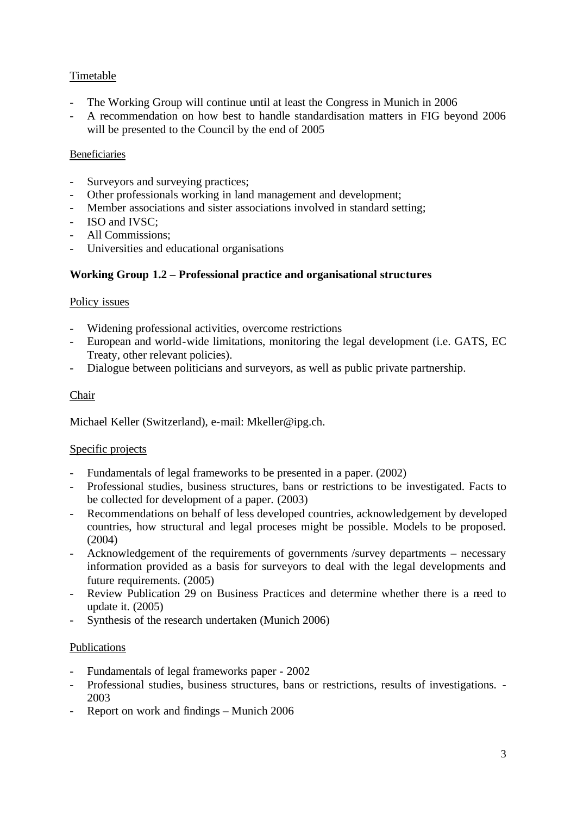# Timetable

- The Working Group will continue until at least the Congress in Munich in 2006
- A recommendation on how best to handle standardisation matters in FIG beyond 2006 will be presented to the Council by the end of 2005

# **Beneficiaries**

- Surveyors and surveying practices;
- Other professionals working in land management and development;
- Member associations and sister associations involved in standard setting;
- ISO and IVSC:
- All Commissions;
- Universities and educational organisations

# **Working Group 1.2 – Professional practice and organisational structures**

### Policy issues

- Widening professional activities, overcome restrictions
- European and world-wide limitations, monitoring the legal development (i.e. GATS, EC Treaty, other relevant policies).
- Dialogue between politicians and surveyors, as well as public private partnership.

### Chair

Michael Keller (Switzerland), e-mail: Mkeller@ipg.ch.

#### Specific projects

- Fundamentals of legal frameworks to be presented in a paper. (2002)
- Professional studies, business structures, bans or restrictions to be investigated. Facts to be collected for development of a paper. (2003)
- Recommendations on behalf of less developed countries, acknowledgement by developed countries, how structural and legal proceses might be possible. Models to be proposed. (2004)
- Acknowledgement of the requirements of governments /survey departments necessary information provided as a basis for surveyors to deal with the legal developments and future requirements. (2005)
- Review Publication 29 on Business Practices and determine whether there is a need to update it. (2005)
- Synthesis of the research undertaken (Munich 2006)

#### Publications

- Fundamentals of legal frameworks paper 2002
- Professional studies, business structures, bans or restrictions, results of investigations. 2003
- Report on work and findings Munich 2006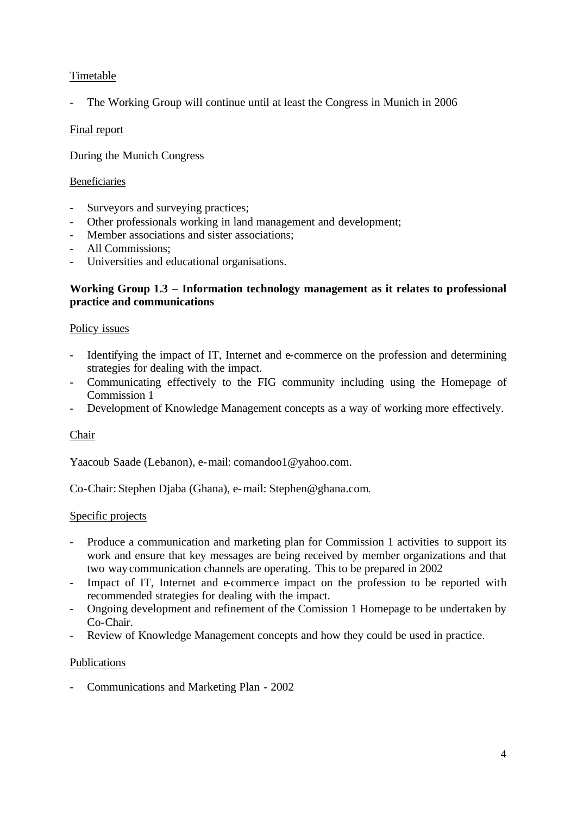# Timetable

- The Working Group will continue until at least the Congress in Munich in 2006

# Final report

During the Munich Congress

# Beneficiaries

- Surveyors and surveying practices;
- Other professionals working in land management and development;
- Member associations and sister associations;
- All Commissions;
- Universities and educational organisations.

# **Working Group 1.3 – Information technology management as it relates to professional practice and communications**

### Policy issues

- Identifying the impact of IT, Internet and e-commerce on the profession and determining strategies for dealing with the impact.
- Communicating effectively to the FIG community including using the Homepage of Commission 1
- Development of Knowledge Management concepts as a way of working more effectively.

# Chair

Yaacoub Saade (Lebanon), e-mail: comandoo1@yahoo.com.

Co-Chair: Stephen Djaba (Ghana), e-mail: Stephen@ghana.com.

#### Specific projects

- Produce a communication and marketing plan for Commission 1 activities to support its work and ensure that key messages are being received by member organizations and that two way communication channels are operating. This to be prepared in 2002
- Impact of IT, Internet and e-commerce impact on the profession to be reported with recommended strategies for dealing with the impact.
- Ongoing development and refinement of the Comission 1 Homepage to be undertaken by Co-Chair.
- Review of Knowledge Management concepts and how they could be used in practice.

# Publications

- Communications and Marketing Plan - 2002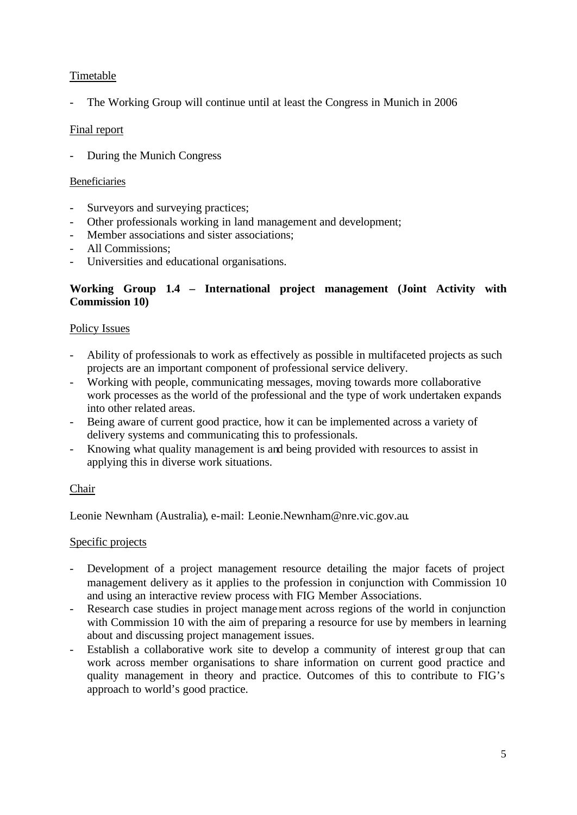# Timetable

The Working Group will continue until at least the Congress in Munich in 2006

# Final report

- During the Munich Congress

#### Beneficiaries

- Surveyors and surveying practices;
- Other professionals working in land management and development;
- Member associations and sister associations;
- All Commissions;
- Universities and educational organisations.

# **Working Group 1.4 – International project management (Joint Activity with Commission 10)**

### Policy Issues

- Ability of professionals to work as effectively as possible in multifaceted projects as such projects are an important component of professional service delivery.
- Working with people, communicating messages, moving towards more collaborative work processes as the world of the professional and the type of work undertaken expands into other related areas.
- Being aware of current good practice, how it can be implemented across a variety of delivery systems and communicating this to professionals.
- Knowing what quality management is and being provided with resources to assist in applying this in diverse work situations.

#### Chair

Leonie Newnham (Australia), e-mail: Leonie.Newnham@nre.vic.gov.au.

#### Specific projects

- Development of a project management resource detailing the major facets of project management delivery as it applies to the profession in conjunction with Commission 10 and using an interactive review process with FIG Member Associations.
- Research case studies in project management across regions of the world in conjunction with Commission 10 with the aim of preparing a resource for use by members in learning about and discussing project management issues.
- Establish a collaborative work site to develop a community of interest group that can work across member organisations to share information on current good practice and quality management in theory and practice. Outcomes of this to contribute to FIG's approach to world's good practice.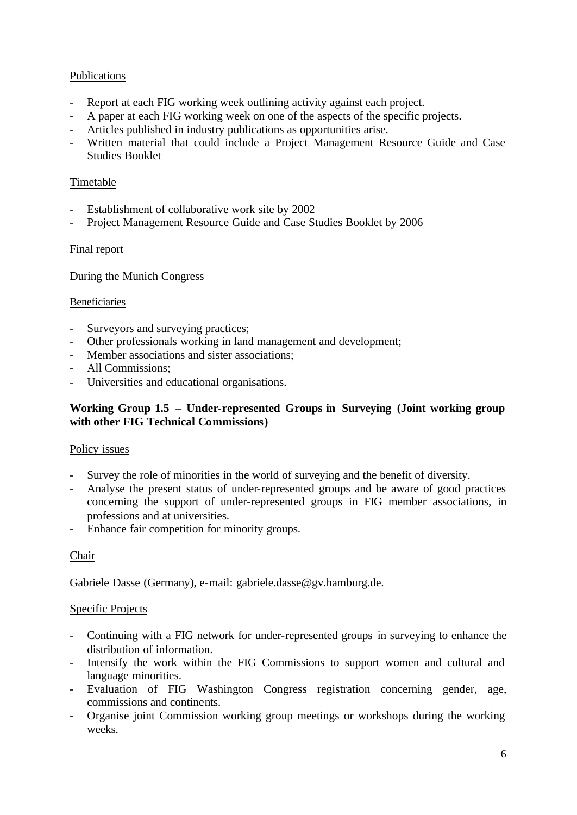# Publications

- Report at each FIG working week outlining activity against each project.
- A paper at each FIG working week on one of the aspects of the specific projects.
- Articles published in industry publications as opportunities arise.
- Written material that could include a Project Management Resource Guide and Case Studies Booklet

### Timetable

- Establishment of collaborative work site by 2002
- Project Management Resource Guide and Case Studies Booklet by 2006

#### Final report

During the Munich Congress

#### Beneficiaries

- Surveyors and surveying practices;
- Other professionals working in land management and development;
- Member associations and sister associations;
- All Commissions;
- Universities and educational organisations.

# **Working Group 1.5 – Under-represented Groups in Surveying (Joint working group with other FIG Technical Commissions)**

#### Policy issues

- Survey the role of minorities in the world of surveying and the benefit of diversity.
- Analyse the present status of under-represented groups and be aware of good practices concerning the support of under-represented groups in FIG member associations, in professions and at universities.
- Enhance fair competition for minority groups.

#### Chair

Gabriele Dasse (Germany), e-mail: gabriele.dasse@gv.hamburg.de.

#### Specific Projects

- Continuing with a FIG network for under-represented groups in surveying to enhance the distribution of information.
- Intensify the work within the FIG Commissions to support women and cultural and language minorities.
- Evaluation of FIG Washington Congress registration concerning gender, age, commissions and continents.
- Organise joint Commission working group meetings or workshops during the working weeks.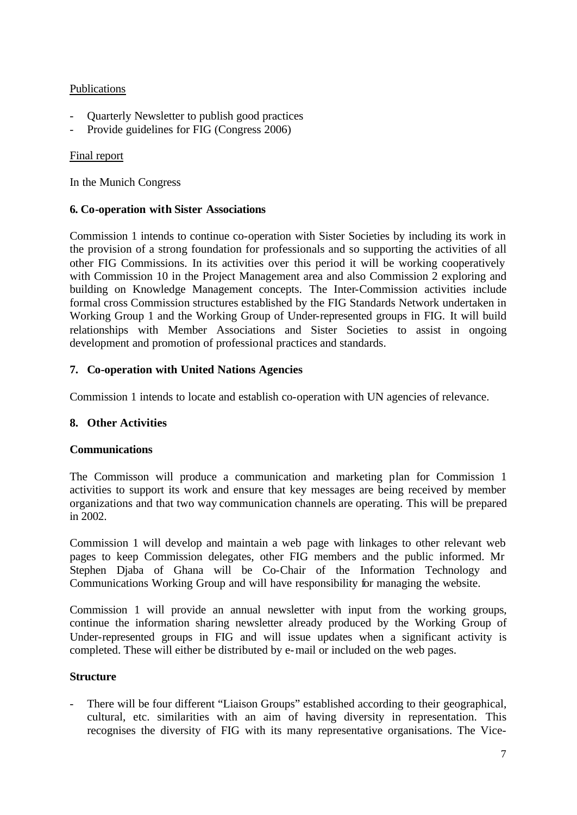## **Publications**

- Quarterly Newsletter to publish good practices
- Provide guidelines for FIG (Congress 2006)

### Final report

In the Munich Congress

## **6. Co-operation with Sister Associations**

Commission 1 intends to continue co-operation with Sister Societies by including its work in the provision of a strong foundation for professionals and so supporting the activities of all other FIG Commissions. In its activities over this period it will be working cooperatively with Commission 10 in the Project Management area and also Commission 2 exploring and building on Knowledge Management concepts. The Inter-Commission activities include formal cross Commission structures established by the FIG Standards Network undertaken in Working Group 1 and the Working Group of Under-represented groups in FIG. It will build relationships with Member Associations and Sister Societies to assist in ongoing development and promotion of professional practices and standards.

### **7. Co-operation with United Nations Agencies**

Commission 1 intends to locate and establish co-operation with UN agencies of relevance.

# **8. Other Activities**

#### **Communications**

The Commisson will produce a communication and marketing plan for Commission 1 activities to support its work and ensure that key messages are being received by member organizations and that two way communication channels are operating. This will be prepared in 2002.

Commission 1 will develop and maintain a web page with linkages to other relevant web pages to keep Commission delegates, other FIG members and the public informed. Mr Stephen Djaba of Ghana will be Co-Chair of the Information Technology and Communications Working Group and will have responsibility for managing the website.

Commission 1 will provide an annual newsletter with input from the working groups, continue the information sharing newsletter already produced by the Working Group of Under-represented groups in FIG and will issue updates when a significant activity is completed. These will either be distributed by e-mail or included on the web pages.

# **Structure**

There will be four different "Liaison Groups" established according to their geographical, cultural, etc. similarities with an aim of having diversity in representation. This recognises the diversity of FIG with its many representative organisations. The Vice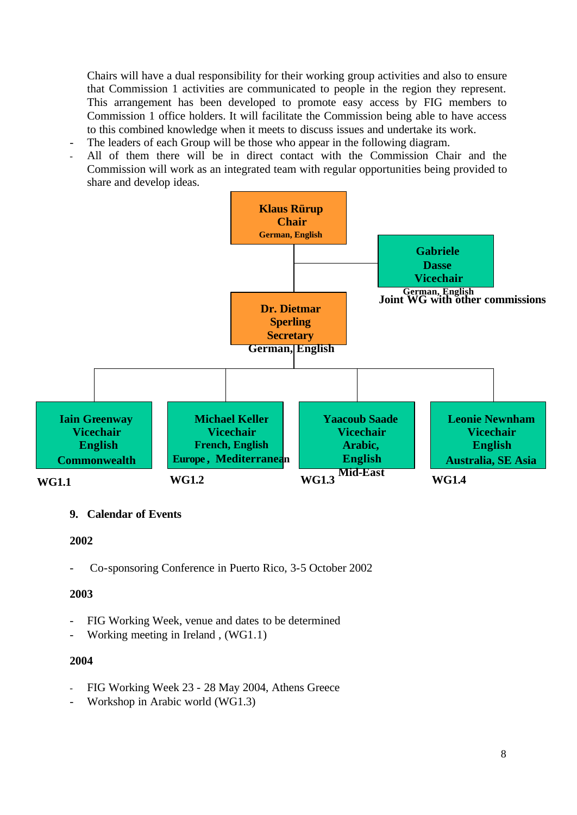Chairs will have a dual responsibility for their working group activities and also to ensure that Commission 1 activities are communicated to people in the region they represent. This arrangement has been developed to promote easy access by FIG members to Commission 1 office holders. It will facilitate the Commission being able to have access to this combined knowledge when it meets to discuss issues and undertake its work.

- The leaders of each Group will be those who appear in the following diagram.
- All of them there will be in direct contact with the Commission Chair and the Commission will work as an integrated team with regular opportunities being provided to share and develop ideas.



#### **9. Calendar of Events**

**2002**

- Co-sponsoring Conference in Puerto Rico, 3-5 October 2002

#### **2003**

- FIG Working Week, venue and dates to be determined
- Working meeting in Ireland, (WG1.1)

#### **2004**

- FIG Working Week 23 28 May 2004, Athens Greece
- Workshop in Arabic world (WG1.3)